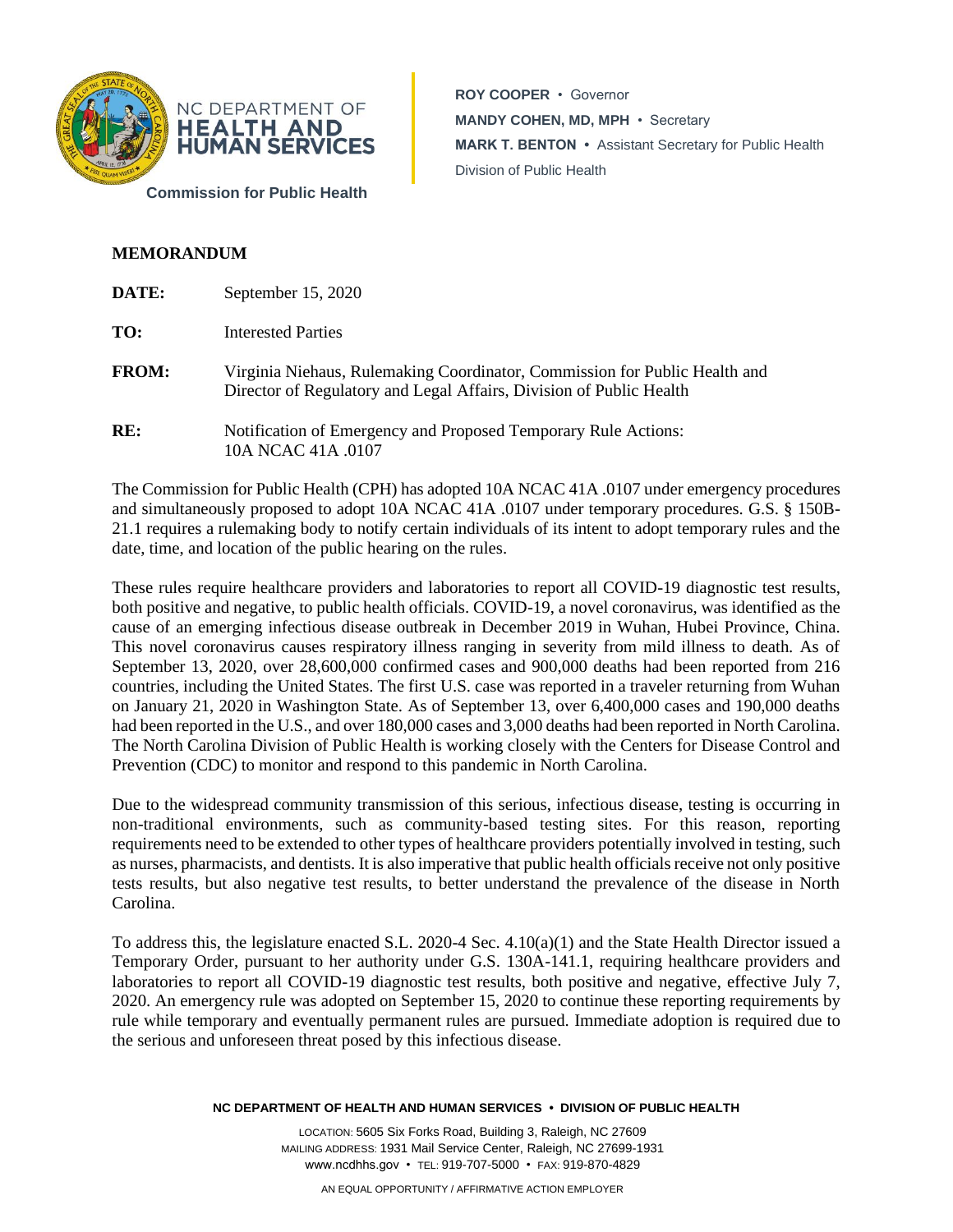

**ROY COOPER** • Governor **MANDY COHEN, MD, MPH** • Secretary **MARK T. BENTON •** Assistant Secretary for Public Health Division of Public Health

## **MEMORANDUM**

| <b>DATE:</b> | September 15, 2020                                                                                                                                |
|--------------|---------------------------------------------------------------------------------------------------------------------------------------------------|
| TO:          | Interested Parties                                                                                                                                |
| <b>FROM:</b> | Virginia Niehaus, Rulemaking Coordinator, Commission for Public Health and<br>Director of Regulatory and Legal Affairs, Division of Public Health |
| RE:          | Notification of Emergency and Proposed Temporary Rule Actions:<br>10A NCAC 41A .0107                                                              |

The Commission for Public Health (CPH) has adopted 10A NCAC 41A .0107 under emergency procedures and simultaneously proposed to adopt 10A NCAC 41A .0107 under temporary procedures. G.S. § 150B-21.1 requires a rulemaking body to notify certain individuals of its intent to adopt temporary rules and the date, time, and location of the public hearing on the rules.

These rules require healthcare providers and laboratories to report all COVID-19 diagnostic test results, both positive and negative, to public health officials. COVID-19, a novel coronavirus, was identified as the cause of an emerging infectious disease outbreak in December 2019 in Wuhan, Hubei Province, China. This novel coronavirus causes respiratory illness ranging in severity from mild illness to death. As of September 13, 2020, over 28,600,000 confirmed cases and 900,000 deaths had been reported from 216 countries, including the United States. The first U.S. case was reported in a traveler returning from Wuhan on January 21, 2020 in Washington State. As of September 13, over 6,400,000 cases and 190,000 deaths had been reported in the U.S., and over 180,000 cases and 3,000 deaths had been reported in North Carolina. The North Carolina Division of Public Health is working closely with the Centers for Disease Control and Prevention (CDC) to monitor and respond to this pandemic in North Carolina.

Due to the widespread community transmission of this serious, infectious disease, testing is occurring in non-traditional environments, such as community-based testing sites. For this reason, reporting requirements need to be extended to other types of healthcare providers potentially involved in testing, such as nurses, pharmacists, and dentists. It is also imperative that public health officials receive not only positive tests results, but also negative test results, to better understand the prevalence of the disease in North Carolina.

To address this, the legislature enacted S.L. 2020-4 Sec. 4.10(a)(1) and the State Health Director issued a Temporary Order, pursuant to her authority under G.S. 130A-141.1, requiring healthcare providers and laboratories to report all COVID-19 diagnostic test results, both positive and negative, effective July 7, 2020. An emergency rule was adopted on September 15, 2020 to continue these reporting requirements by rule while temporary and eventually permanent rules are pursued. Immediate adoption is required due to the serious and unforeseen threat posed by this infectious disease.

## **NC DEPARTMENT OF HEALTH AND HUMAN SERVICES • DIVISION OF PUBLIC HEALTH**

LOCATION: 5605 Six Forks Road, Building 3, Raleigh, NC 27609 MAILING ADDRESS: 1931 Mail Service Center, Raleigh, NC 27699-1931 www.ncdhhs.gov • TEL: 919-707-5000 • FAX: 919-870-4829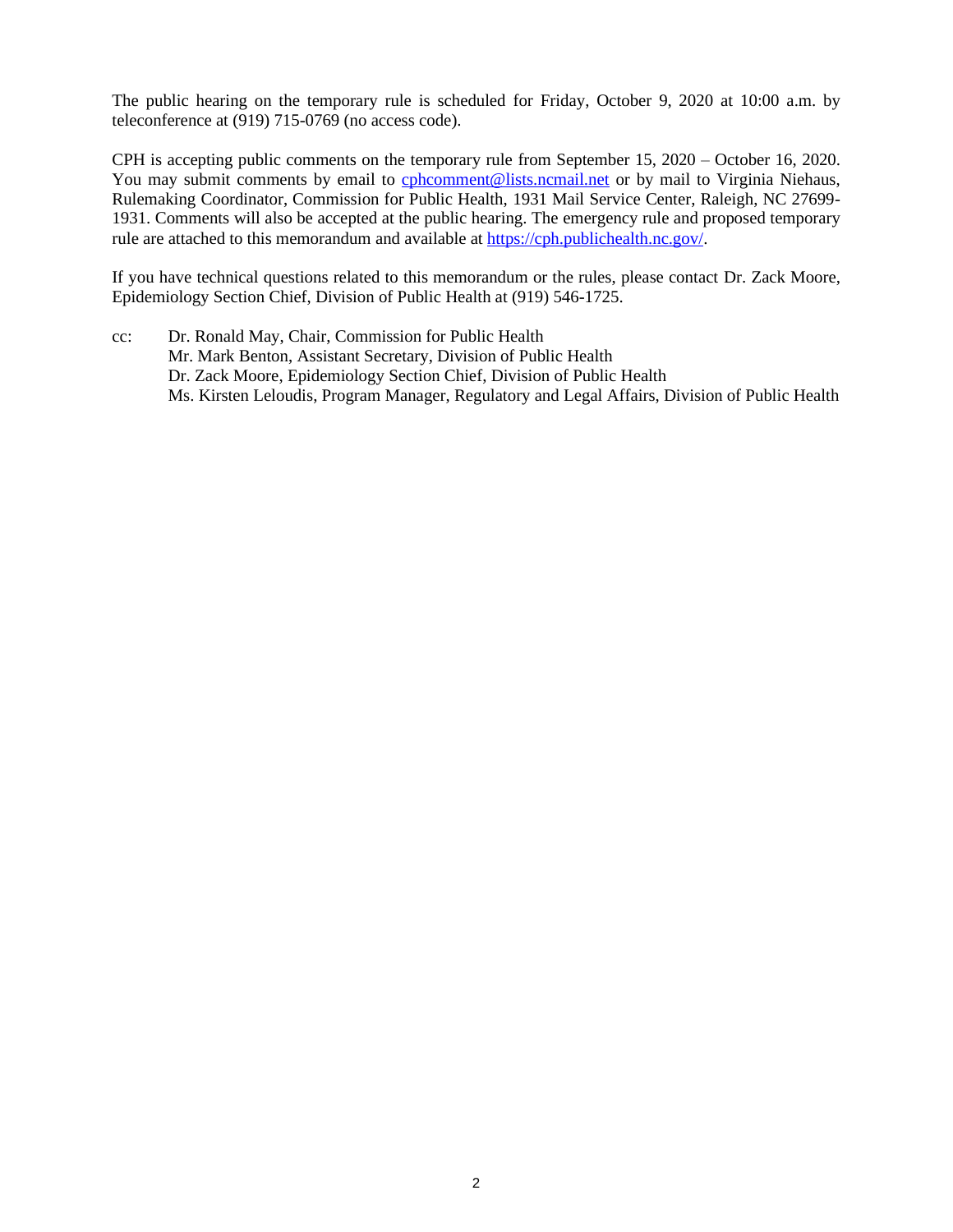The public hearing on the temporary rule is scheduled for Friday, October 9, 2020 at 10:00 a.m. by teleconference at (919) 715-0769 (no access code).

CPH is accepting public comments on the temporary rule from September 15, 2020 – October 16, 2020. You may submit comments by email to [cphcomment@lists.ncmail.net](mailto:cphcomment@lists.ncmail.net) or by mail to Virginia Niehaus, Rulemaking Coordinator, Commission for Public Health, 1931 Mail Service Center, Raleigh, NC 27699- 1931. Comments will also be accepted at the public hearing. The emergency rule and proposed temporary rule are attached to this memorandum and available at [https://cph.publichealth.nc.gov/.](https://cph.publichealth.nc.gov/)

If you have technical questions related to this memorandum or the rules, please contact Dr. Zack Moore, Epidemiology Section Chief, Division of Public Health at (919) 546-1725.

cc: Dr. Ronald May, Chair, Commission for Public Health Mr. Mark Benton, Assistant Secretary, Division of Public Health Dr. Zack Moore, Epidemiology Section Chief, Division of Public Health Ms. Kirsten Leloudis, Program Manager, Regulatory and Legal Affairs, Division of Public Health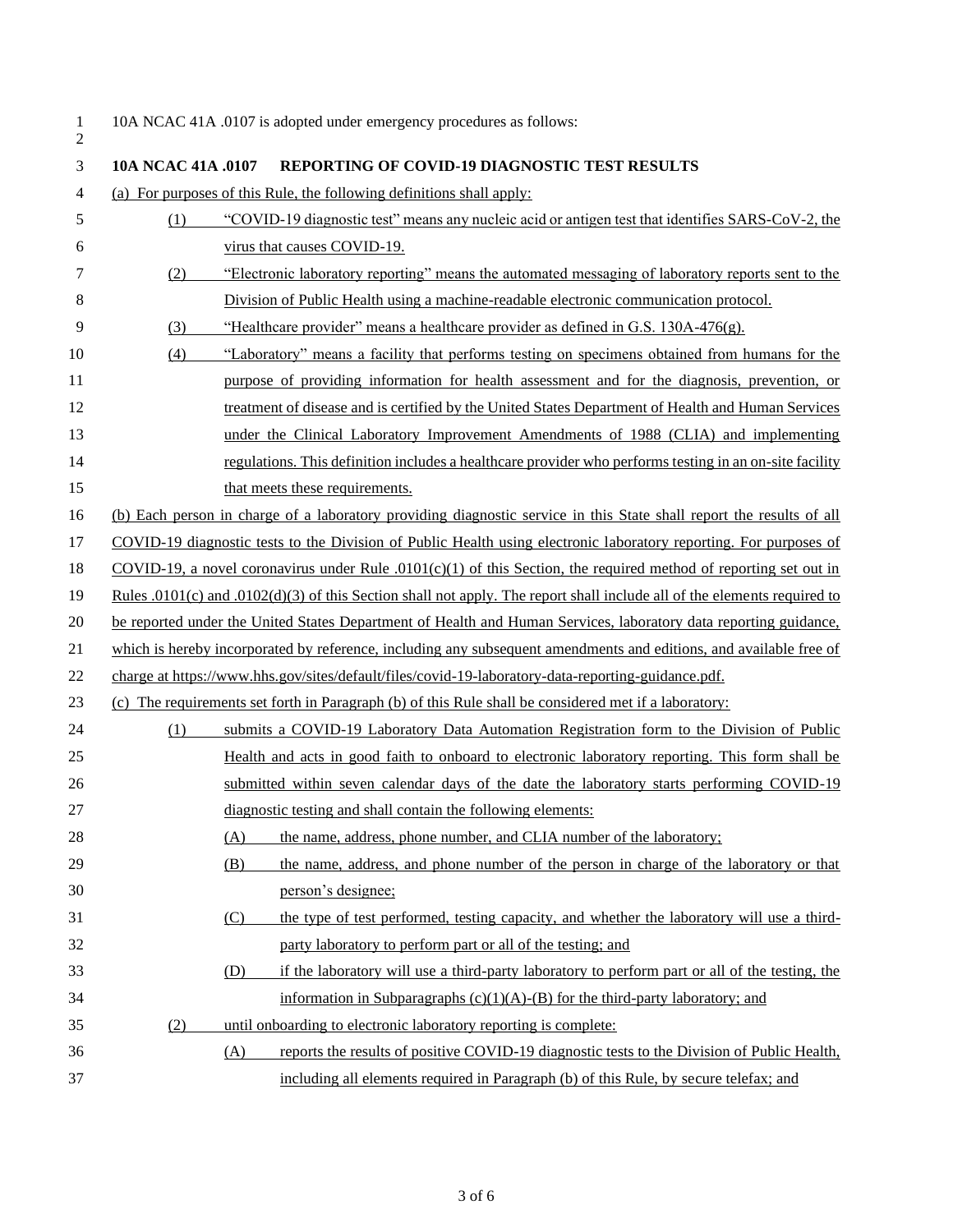$\frac{1}{2}$ 

## 10A NCAC 41A .0107 is adopted under emergency procedures as follows:

| 3  | 10A NCAC 41A .0107 | <b>REPORTING OF COVID-19 DIAGNOSTIC TEST RESULTS</b>                                                                         |
|----|--------------------|------------------------------------------------------------------------------------------------------------------------------|
| 4  |                    | (a) For purposes of this Rule, the following definitions shall apply:                                                        |
| 5  | (1)                | "COVID-19 diagnostic test" means any nucleic acid or antigen test that identifies SARS-CoV-2, the                            |
| 6  |                    | virus that causes COVID-19.                                                                                                  |
| 7  | (2)                | "Electronic laboratory reporting" means the automated messaging of laboratory reports sent to the                            |
| 8  |                    | Division of Public Health using a machine-readable electronic communication protocol.                                        |
| 9  | (3)                | "Healthcare provider" means a healthcare provider as defined in G.S. 130A-476(g).                                            |
| 10 | (4)                | "Laboratory" means a facility that performs testing on specimens obtained from humans for the                                |
| 11 |                    | purpose of providing information for health assessment and for the diagnosis, prevention, or                                 |
| 12 |                    | treatment of disease and is certified by the United States Department of Health and Human Services                           |
| 13 |                    | under the Clinical Laboratory Improvement Amendments of 1988 (CLIA) and implementing                                         |
| 14 |                    | regulations. This definition includes a healthcare provider who performs testing in an on-site facility                      |
| 15 |                    | that meets these requirements.                                                                                               |
| 16 |                    | (b) Each person in charge of a laboratory providing diagnostic service in this State shall report the results of all         |
| 17 |                    | COVID-19 diagnostic tests to the Division of Public Health using electronic laboratory reporting. For purposes of            |
| 18 |                    | COVID-19, a novel coronavirus under Rule $.0101(c)(1)$ of this Section, the required method of reporting set out in          |
| 19 |                    | Rules $.0101(c)$ and $.0102(d)(3)$ of this Section shall not apply. The report shall include all of the elements required to |
| 20 |                    | be reported under the United States Department of Health and Human Services, laboratory data reporting guidance,             |
| 21 |                    | which is hereby incorporated by reference, including any subsequent amendments and editions, and available free of           |
| 22 |                    | charge at https://www.hhs.gov/sites/default/files/covid-19-laboratory-data-reporting-guidance.pdf.                           |
| 23 |                    | (c) The requirements set forth in Paragraph (b) of this Rule shall be considered met if a laboratory:                        |
| 24 | (1)                | submits a COVID-19 Laboratory Data Automation Registration form to the Division of Public                                    |
| 25 |                    | Health and acts in good faith to onboard to electronic laboratory reporting. This form shall be                              |
| 26 |                    | submitted within seven calendar days of the date the laboratory starts performing COVID-19                                   |
| 27 |                    | diagnostic testing and shall contain the following elements:                                                                 |
| 28 |                    | the name, address, phone number, and CLIA number of the laboratory;<br>(A)                                                   |
| 29 |                    | the name, address, and phone number of the person in charge of the laboratory or that<br>(B)                                 |
| 30 |                    | person's designee;                                                                                                           |
| 31 |                    | the type of test performed, testing capacity, and whether the laboratory will use a third-<br>(C)                            |
| 32 |                    | party laboratory to perform part or all of the testing; and                                                                  |
| 33 |                    | if the laboratory will use a third-party laboratory to perform part or all of the testing, the<br>(D)                        |
| 34 |                    | information in Subparagraphs $(c)(1)(A)$ -(B) for the third-party laboratory; and                                            |
| 35 | (2)                | until onboarding to electronic laboratory reporting is complete:                                                             |
| 36 |                    | reports the results of positive COVID-19 diagnostic tests to the Division of Public Health,<br>(A)                           |
| 37 |                    | including all elements required in Paragraph (b) of this Rule, by secure telefax; and                                        |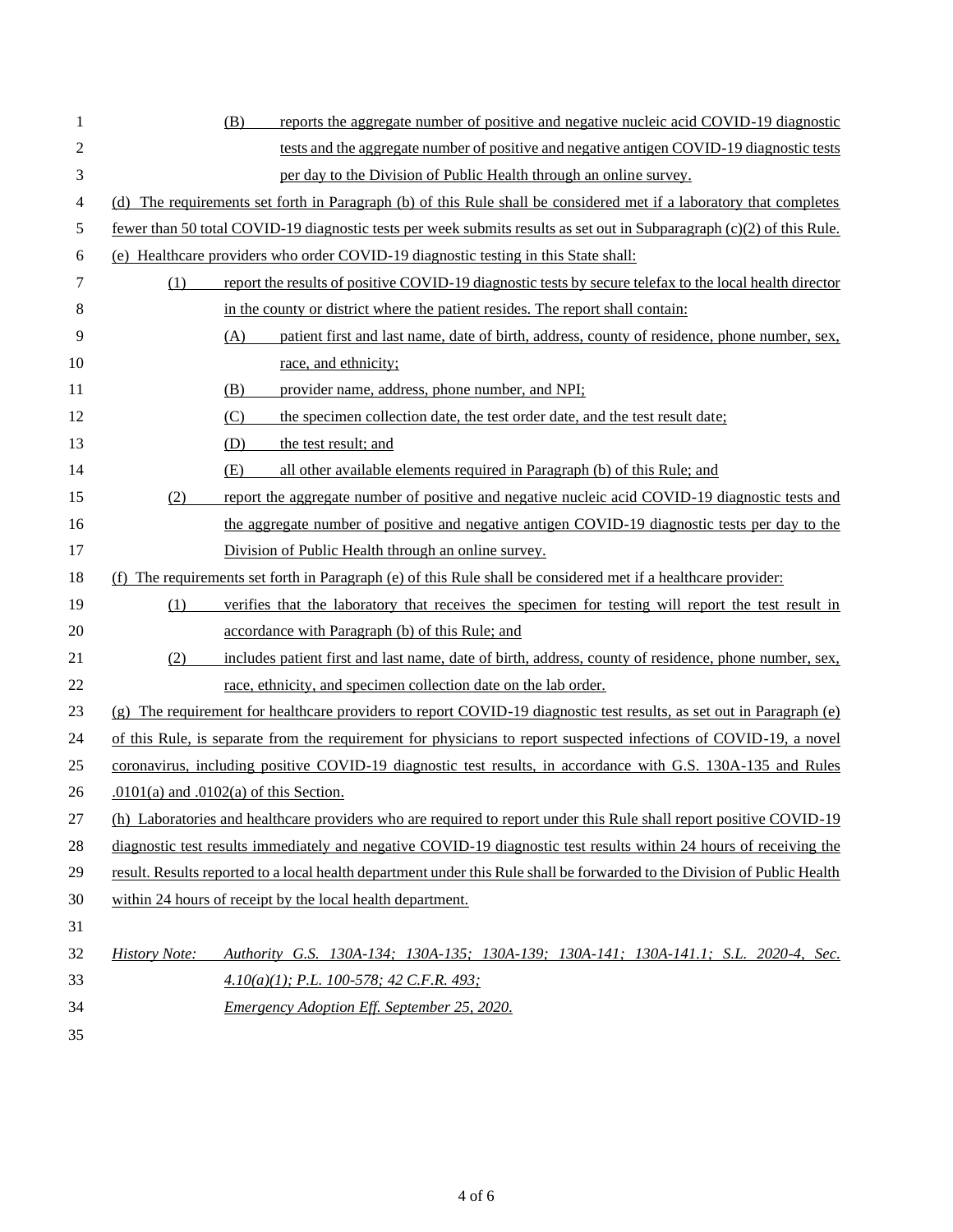| 1              | reports the aggregate number of positive and negative nucleic acid COVID-19 diagnostic<br>(B)                             |
|----------------|---------------------------------------------------------------------------------------------------------------------------|
| $\overline{c}$ | tests and the aggregate number of positive and negative antigen COVID-19 diagnostic tests                                 |
| 3              | per day to the Division of Public Health through an online survey.                                                        |
| 4              | (d) The requirements set forth in Paragraph (b) of this Rule shall be considered met if a laboratory that completes       |
| 5              | fewer than 50 total COVID-19 diagnostic tests per week submits results as set out in Subparagraph (c)(2) of this Rule.    |
| 6              | (e) Healthcare providers who order COVID-19 diagnostic testing in this State shall:                                       |
| 7              | report the results of positive COVID-19 diagnostic tests by secure telefax to the local health director<br>(1)            |
| 8              | in the county or district where the patient resides. The report shall contain:                                            |
| 9              | patient first and last name, date of birth, address, county of residence, phone number, sex,<br>(A)                       |
| 10             | race, and ethnicity;                                                                                                      |
| 11             | (B)<br>provider name, address, phone number, and NPI;                                                                     |
| 12             | (C)<br>the specimen collection date, the test order date, and the test result date;                                       |
| 13             | the test result; and<br>(D)                                                                                               |
| 14             | (E)<br>all other available elements required in Paragraph (b) of this Rule; and                                           |
| 15             | (2)<br>report the aggregate number of positive and negative nucleic acid COVID-19 diagnostic tests and                    |
| 16             | the aggregate number of positive and negative antigen COVID-19 diagnostic tests per day to the                            |
| 17             | Division of Public Health through an online survey.                                                                       |
| 18             | The requirements set forth in Paragraph (e) of this Rule shall be considered met if a healthcare provider:                |
| 19             | verifies that the laboratory that receives the specimen for testing will report the test result in<br>(1)                 |
| 20             | accordance with Paragraph (b) of this Rule; and                                                                           |
| 21             | includes patient first and last name, date of birth, address, county of residence, phone number, sex,<br>(2)              |
| 22             | race, ethnicity, and specimen collection date on the lab order.                                                           |
| 23             | (g) The requirement for healthcare providers to report COVID-19 diagnostic test results, as set out in Paragraph (e)      |
| 24             | of this Rule, is separate from the requirement for physicians to report suspected infections of COVID-19, a novel         |
| 25             | coronavirus, including positive COVID-19 diagnostic test results, in accordance with G.S. 130A-135 and Rules              |
| 26             | $.0101(a)$ and $.0102(a)$ of this Section.                                                                                |
| $27\,$         | (h) Laboratories and healthcare providers who are required to report under this Rule shall report positive COVID-19       |
| 28             | diagnostic test results immediately and negative COVID-19 diagnostic test results within 24 hours of receiving the        |
| 29             | result. Results reported to a local health department under this Rule shall be forwarded to the Division of Public Health |
| 30             | within 24 hours of receipt by the local health department.                                                                |
| 31             |                                                                                                                           |
| 32             | <b>History Note:</b><br>Authority G.S. 130A-134; 130A-135; 130A-139; 130A-141; 130A-141.1; S.L. 2020-4, Sec.              |
| 33             | $4.10(a)(1)$ ; P.L. 100-578; 42 C.F.R. 493;                                                                               |
| 34             | <b>Emergency Adoption Eff. September 25, 2020.</b>                                                                        |
| 35             |                                                                                                                           |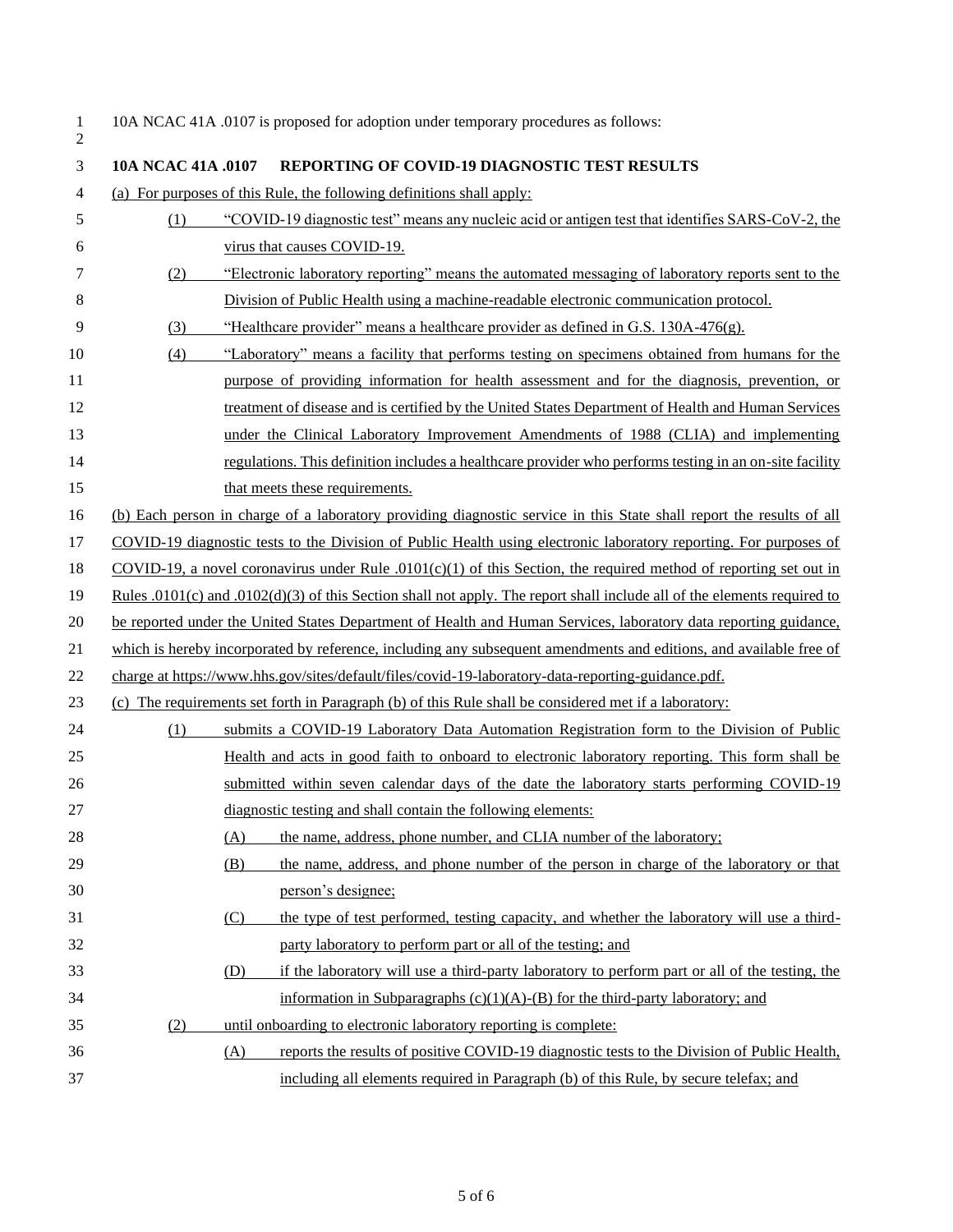| 10A NCAC 41A .0107 is proposed for adoption under temporary procedures as follows: |
|------------------------------------------------------------------------------------|
|                                                                                    |

| 3  | 104 NCAC 41A .0107 | REPORTING OF COVID-19 DIAGNOSTIC TEST RESULTS                                                                            |
|----|--------------------|--------------------------------------------------------------------------------------------------------------------------|
| 4  |                    | (a) For purposes of this Rule, the following definitions shall apply:                                                    |
| 5  | (1)                | "COVID-19 diagnostic test" means any nucleic acid or antigen test that identifies SARS-CoV-2, the                        |
| 6  |                    | virus that causes COVID-19.                                                                                              |
| 7  | (2)                | "Electronic laboratory reporting" means the automated messaging of laboratory reports sent to the                        |
| 8  |                    | Division of Public Health using a machine-readable electronic communication protocol.                                    |
| 9  | (3)                | "Healthcare provider" means a healthcare provider as defined in G.S. 130A-476(g).                                        |
| 10 | (4)                | "Laboratory" means a facility that performs testing on specimens obtained from humans for the                            |
| 11 |                    | purpose of providing information for health assessment and for the diagnosis, prevention, or                             |
| 12 |                    | treatment of disease and is certified by the United States Department of Health and Human Services                       |
| 13 |                    | under the Clinical Laboratory Improvement Amendments of 1988 (CLIA) and implementing                                     |
| 14 |                    | regulations. This definition includes a healthcare provider who performs testing in an on-site facility                  |
| 15 |                    | that meets these requirements.                                                                                           |
| 16 |                    | (b) Each person in charge of a laboratory providing diagnostic service in this State shall report the results of all     |
| 17 |                    | COVID-19 diagnostic tests to the Division of Public Health using electronic laboratory reporting. For purposes of        |
| 18 |                    | $COVID-19$ , a novel coronavirus under Rule $.0101(c)(1)$ of this Section, the required method of reporting set out in   |
| 19 |                    | Rules .0101(c) and .0102(d)(3) of this Section shall not apply. The report shall include all of the elements required to |
| 20 |                    | be reported under the United States Department of Health and Human Services, laboratory data reporting guidance,         |
| 21 |                    | which is hereby incorporated by reference, including any subsequent amendments and editions, and available free of       |
| 22 |                    | charge at https://www.hhs.gov/sites/default/files/covid-19-laboratory-data-reporting-guidance.pdf.                       |
| 23 |                    | (c) The requirements set forth in Paragraph (b) of this Rule shall be considered met if a laboratory:                    |
| 24 | (1)                | submits a COVID-19 Laboratory Data Automation Registration form to the Division of Public                                |
| 25 |                    | Health and acts in good faith to onboard to electronic laboratory reporting. This form shall be                          |
| 26 |                    | submitted within seven calendar days of the date the laboratory starts performing COVID-19                               |
| 27 |                    | diagnostic testing and shall contain the following elements:                                                             |
| 28 |                    | the name, address, phone number, and CLIA number of the laboratory;<br>(A)                                               |
| 29 |                    | (B)<br>the name, address, and phone number of the person in charge of the laboratory or that                             |
| 30 |                    | person's designee;                                                                                                       |
| 31 |                    | the type of test performed, testing capacity, and whether the laboratory will use a third-<br>(C)                        |
| 32 |                    | party laboratory to perform part or all of the testing; and                                                              |
| 33 |                    | if the laboratory will use a third-party laboratory to perform part or all of the testing, the<br>(D)                    |
| 34 |                    | information in Subparagraphs $(c)(1)(A)$ -(B) for the third-party laboratory; and                                        |
| 35 | (2)                | until onboarding to electronic laboratory reporting is complete:                                                         |
| 36 |                    | reports the results of positive COVID-19 diagnostic tests to the Division of Public Health,<br>(A)                       |
| 37 |                    | including all elements required in Paragraph (b) of this Rule, by secure telefax; and                                    |
|    |                    |                                                                                                                          |